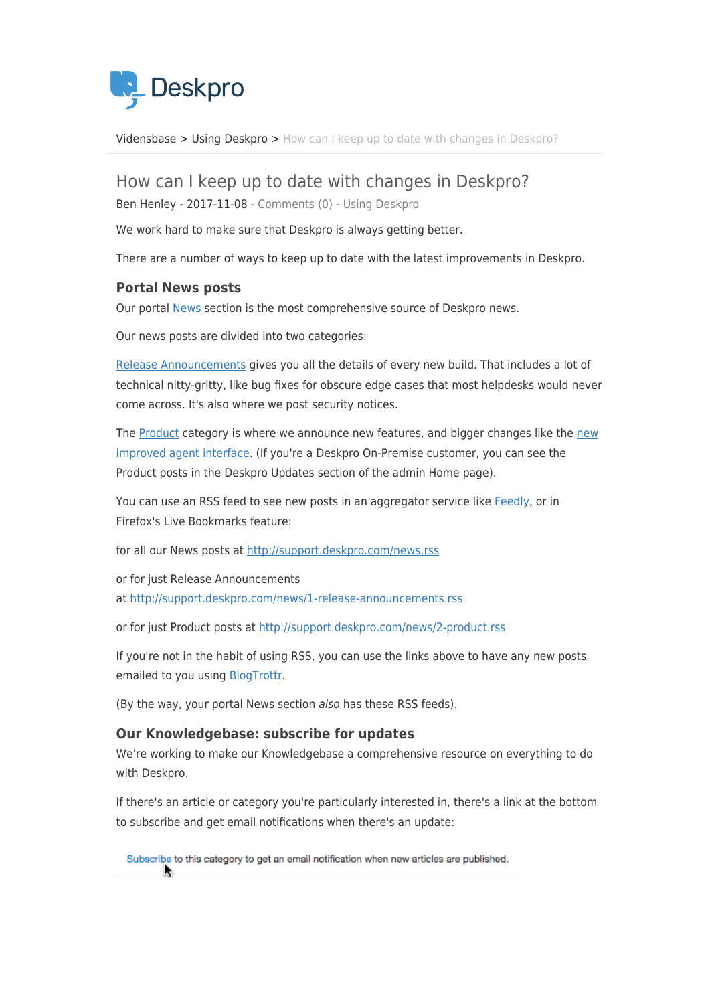

[Vidensbase](https://support.deskpro.com/da/kb) > [Using Deskpro](https://support.deskpro.com/da/kb/using-deskpro) > [How can I keep up to date with changes in Deskpro?](https://support.deskpro.com/da/kb/articles/how-can-i-keep-up-to-date-with-changes-in-deskpro)

How can I keep up to date with changes in Deskpro?

Ben Henley - 2017-11-08 - [Comments \(0\)](#page--1-0) - [Using Deskpro](https://support.deskpro.com/da/kb/using-deskpro)

We work hard to make sure that Deskpro is always getting better.

There are a number of ways to keep up to date with the latest improvements in Deskpro.

## **Portal News posts**

Our portal [News](https://support.deskpro.com/news) section is the most comprehensive source of Deskpro news.

Our news posts are divided into two categories:

[Release Announcements](https://support.deskpro.com/news/1-release-announcements) gives you all the details of every new build. That includes a lot of technical nitty-gritty, like bug fixes for obscure edge cases that most helpdesks would never come across. It's also where we post security notices.

The [Product](https://support.deskpro.com/news/2-product) category is where we announce [new](https://support.deskpro.com/news/view/459-agent-interface-improved) features, and bigger changes like the new [improved agent interface](https://support.deskpro.com/news/view/459-agent-interface-improved). (If you're a Deskpro On-Premise customer, you can see the Product posts in the Deskpro Updates section of the admin Home page).

You can use an RSS feed to see new posts in an aggregator service like [Feedly,](http://feedly.com/) or in Firefox's Live Bookmarks feature:

for all our News posts at<http://support.deskpro.com/news.rss>

or for just Release Announcements at<http://support.deskpro.com/news/1-release-announcements.rss>

or for just Product posts at<http://support.deskpro.com/news/2-product.rss>

If you're not in the habit of using RSS, you can use the links above to have any new posts emailed to you using [BlogTrottr.](https://blogtrottr.com/)

(By the way, your portal News section also has these RSS feeds).

## **Our Knowledgebase: subscribe for updates**

We're working to make our Knowledgebase a comprehensive resource on everything to do with Deskpro.

If there's an article or category you're particularly interested in, there's a link at the bottom to subscribe and get email notifications when there's an update:

Subscribe to this category to get an email notification when new articles are published.  $\blacktriangle$